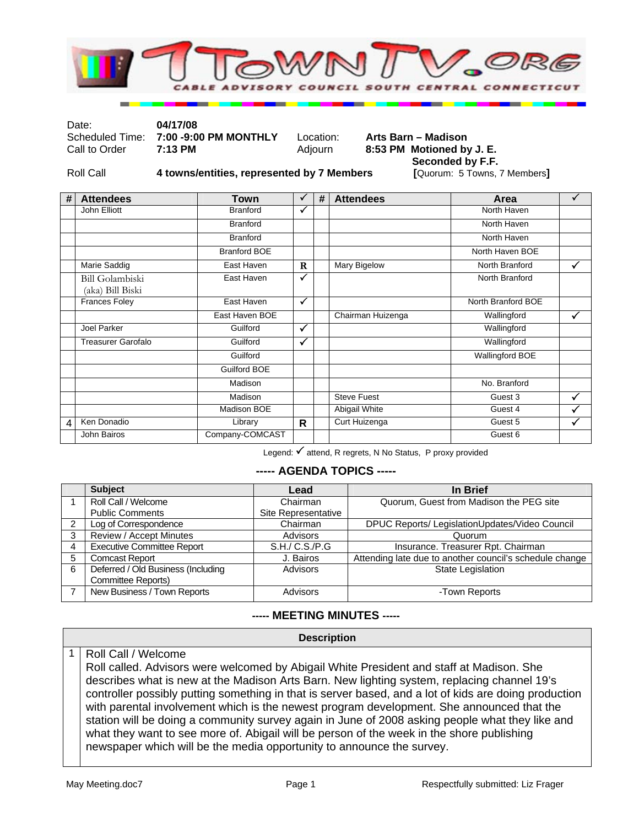

Date: **04/17/08** 

7:00 -9:00 PM MONTHLY Location: Arts Barn – Madison

Call to Order **7:13 PM** Adjourn **8:53 PM Motioned by J. E. Seconded by F.F.** 

Roll Call **4 towns/entities, represented by 7 Members [**Quorum: 5 Towns, 7 Members**]** 

| # | <b>Attendees</b>                           | Town                | ✓            | # | <b>Attendees</b>     | Area                   | $\sqrt{}$    |
|---|--------------------------------------------|---------------------|--------------|---|----------------------|------------------------|--------------|
|   | John Elliott                               | <b>Branford</b>     | $\checkmark$ |   |                      | North Haven            |              |
|   |                                            | <b>Branford</b>     |              |   |                      | North Haven            |              |
|   |                                            | <b>Branford</b>     |              |   |                      | North Haven            |              |
|   |                                            | <b>Branford BOE</b> |              |   |                      | North Haven BOE        |              |
|   | Marie Saddig                               | East Haven          | $\mathbf R$  |   | Mary Bigelow         | North Branford         | $\checkmark$ |
|   | <b>Bill Golambiski</b><br>(aka) Bill Biski | East Haven          | $\checkmark$ |   |                      | North Branford         |              |
|   | <b>Frances Foley</b>                       | East Haven          | $\checkmark$ |   |                      | North Branford BOE     |              |
|   |                                            | East Haven BOE      |              |   | Chairman Huizenga    | Wallingford            | ✓            |
|   | Joel Parker                                | Guilford            | $\checkmark$ |   |                      | Wallingford            |              |
|   | <b>Treasurer Garofalo</b>                  | Guilford            | $\checkmark$ |   |                      | Wallingford            |              |
|   |                                            | Guilford            |              |   |                      | <b>Wallingford BOE</b> |              |
|   |                                            | Guilford BOE        |              |   |                      |                        |              |
|   |                                            | Madison             |              |   |                      | No. Branford           |              |
|   |                                            | Madison             |              |   | <b>Steve Fuest</b>   | Guest 3                | ✓            |
|   |                                            | Madison BOE         |              |   | <b>Abigail White</b> | Guest 4                | ✓            |
| 4 | Ken Donadio                                | Library             | R            |   | Curt Huizenga        | Guest 5                |              |
|   | John Bairos                                | Company-COMCAST     |              |   |                      | Guest 6                |              |

Legend: √ attend, R regrets, N No Status, P proxy provided

## **----- AGENDA TOPICS -----**

|               | <b>Subject</b>                     | Lead                | In Brief                                                |
|---------------|------------------------------------|---------------------|---------------------------------------------------------|
|               | Roll Call / Welcome                | Chairman            | Quorum, Guest from Madison the PEG site                 |
|               | <b>Public Comments</b>             | Site Representative |                                                         |
| $\mathcal{P}$ | Log of Correspondence              | Chairman            | DPUC Reports/ LegislationUpdates/Video Council          |
| 3             | Review / Accept Minutes            | Advisors            | Quorum                                                  |
|               | <b>Executive Committee Report</b>  | S.H./ C.S./P.G      | Insurance. Treasurer Rpt. Chairman                      |
| 5             | <b>Comcast Report</b>              | J. Bairos           | Attending late due to another council's schedule change |
| 6             | Deferred / Old Business (Including | Advisors            | <b>State Legislation</b>                                |
|               | Committee Reports)                 |                     |                                                         |
|               | New Business / Town Reports        | Advisors            | -Town Reports                                           |

## **----- MEETING MINUTES -----**

**Description**  1 | Roll Call / Welcome Roll called. Advisors were welcomed by Abigail White President and staff at Madison. She describes what is new at the Madison Arts Barn. New lighting system, replacing channel 19's controller possibly putting something in that is server based, and a lot of kids are doing production with parental involvement which is the newest program development. She announced that the station will be doing a community survey again in June of 2008 asking people what they like and what they want to see more of. Abigail will be person of the week in the shore publishing newspaper which will be the media opportunity to announce the survey.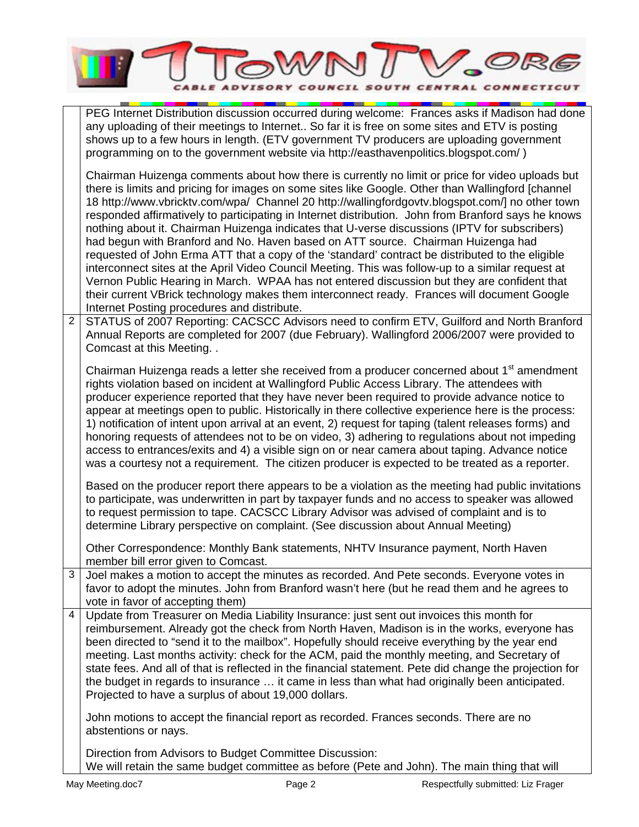|                | COUNCIL SOUTH CENTRAL CONNEC                                                                                                                                                                                                                                                                                                                                                                                                                                                                                                                                                                                                                                                                                                                                                                                                                                                                                                                                                                                                                                                                                                                            |
|----------------|---------------------------------------------------------------------------------------------------------------------------------------------------------------------------------------------------------------------------------------------------------------------------------------------------------------------------------------------------------------------------------------------------------------------------------------------------------------------------------------------------------------------------------------------------------------------------------------------------------------------------------------------------------------------------------------------------------------------------------------------------------------------------------------------------------------------------------------------------------------------------------------------------------------------------------------------------------------------------------------------------------------------------------------------------------------------------------------------------------------------------------------------------------|
|                | PEG Internet Distribution discussion occurred during welcome: Frances asks if Madison had done<br>any uploading of their meetings to Internet So far it is free on some sites and ETV is posting<br>shows up to a few hours in length. (ETV government TV producers are uploading government<br>programming on to the government website via http://easthavenpolitics.blogspot.com/)                                                                                                                                                                                                                                                                                                                                                                                                                                                                                                                                                                                                                                                                                                                                                                    |
| $\overline{2}$ | Chairman Huizenga comments about how there is currently no limit or price for video uploads but<br>there is limits and pricing for images on some sites like Google. Other than Wallingford [channel<br>18 http://www.vbricktv.com/wpa/ Channel 20 http://wallingfordgovtv.blogspot.com/] no other town<br>responded affirmatively to participating in Internet distribution. John from Branford says he knows<br>nothing about it. Chairman Huizenga indicates that U-verse discussions (IPTV for subscribers)<br>had begun with Branford and No. Haven based on ATT source. Chairman Huizenga had<br>requested of John Erma ATT that a copy of the 'standard' contract be distributed to the eligible<br>interconnect sites at the April Video Council Meeting. This was follow-up to a similar request at<br>Vernon Public Hearing in March. WPAA has not entered discussion but they are confident that<br>their current VBrick technology makes them interconnect ready. Frances will document Google<br>Internet Posting procedures and distribute.<br>STATUS of 2007 Reporting: CACSCC Advisors need to confirm ETV, Guilford and North Branford |
|                | Annual Reports are completed for 2007 (due February). Wallingford 2006/2007 were provided to<br>Comcast at this Meeting. .                                                                                                                                                                                                                                                                                                                                                                                                                                                                                                                                                                                                                                                                                                                                                                                                                                                                                                                                                                                                                              |
|                | Chairman Huizenga reads a letter she received from a producer concerned about 1 <sup>st</sup> amendment<br>rights violation based on incident at Wallingford Public Access Library. The attendees with<br>producer experience reported that they have never been required to provide advance notice to<br>appear at meetings open to public. Historically in there collective experience here is the process:<br>1) notification of intent upon arrival at an event, 2) request for taping (talent releases forms) and<br>honoring requests of attendees not to be on video, 3) adhering to regulations about not impeding<br>access to entrances/exits and 4) a visible sign on or near camera about taping. Advance notice<br>was a courtesy not a requirement. The citizen producer is expected to be treated as a reporter.<br>Based on the producer report there appears to be a violation as the meeting had public invitations<br>to participate, was underwritten in part by taxpayer funds and no access to speaker was allowed<br>to request permission to tape. CACSCC Library Advisor was advised of complaint and is to                    |
|                | determine Library perspective on complaint. (See discussion about Annual Meeting)<br>Other Correspondence: Monthly Bank statements, NHTV Insurance payment, North Haven                                                                                                                                                                                                                                                                                                                                                                                                                                                                                                                                                                                                                                                                                                                                                                                                                                                                                                                                                                                 |
|                | member bill error given to Comcast.                                                                                                                                                                                                                                                                                                                                                                                                                                                                                                                                                                                                                                                                                                                                                                                                                                                                                                                                                                                                                                                                                                                     |
| 3              | Joel makes a motion to accept the minutes as recorded. And Pete seconds. Everyone votes in<br>favor to adopt the minutes. John from Branford wasn't here (but he read them and he agrees to<br>vote in favor of accepting them)                                                                                                                                                                                                                                                                                                                                                                                                                                                                                                                                                                                                                                                                                                                                                                                                                                                                                                                         |
| 4              | Update from Treasurer on Media Liability Insurance: just sent out invoices this month for<br>reimbursement. Already got the check from North Haven, Madison is in the works, everyone has                                                                                                                                                                                                                                                                                                                                                                                                                                                                                                                                                                                                                                                                                                                                                                                                                                                                                                                                                               |
|                | been directed to "send it to the mailbox". Hopefully should receive everything by the year end<br>meeting. Last months activity: check for the ACM, paid the monthly meeting, and Secretary of<br>state fees. And all of that is reflected in the financial statement. Pete did change the projection for<br>the budget in regards to insurance  it came in less than what had originally been anticipated.<br>Projected to have a surplus of about 19,000 dollars.                                                                                                                                                                                                                                                                                                                                                                                                                                                                                                                                                                                                                                                                                     |
|                | John motions to accept the financial report as recorded. Frances seconds. There are no<br>abstentions or nays.                                                                                                                                                                                                                                                                                                                                                                                                                                                                                                                                                                                                                                                                                                                                                                                                                                                                                                                                                                                                                                          |
|                | Direction from Advisors to Budget Committee Discussion:<br>We will retain the same budget committee as before (Pete and John). The main thing that will                                                                                                                                                                                                                                                                                                                                                                                                                                                                                                                                                                                                                                                                                                                                                                                                                                                                                                                                                                                                 |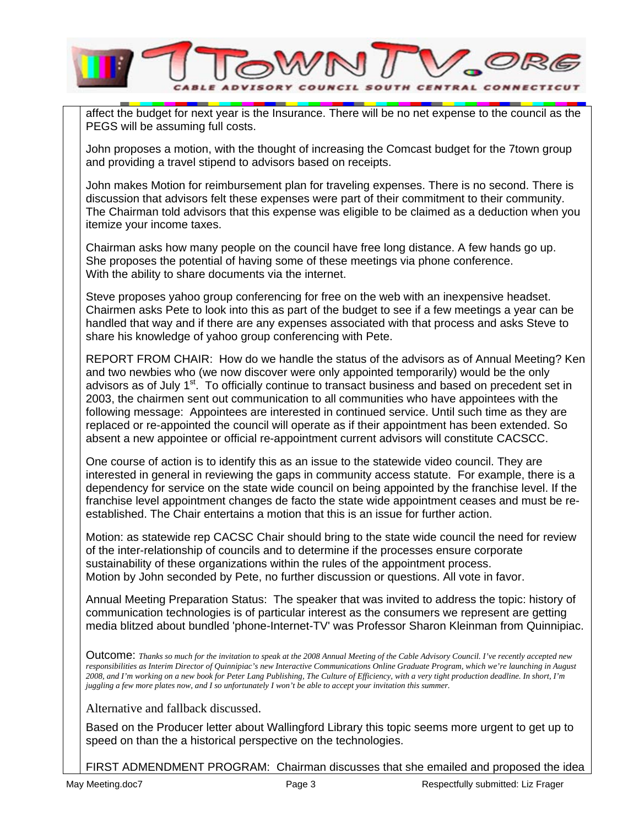

affect the budget for next year is the Insurance. There will be no net expense to the council as the PEGS will be assuming full costs.

John proposes a motion, with the thought of increasing the Comcast budget for the 7town group and providing a travel stipend to advisors based on receipts.

John makes Motion for reimbursement plan for traveling expenses. There is no second. There is discussion that advisors felt these expenses were part of their commitment to their community. The Chairman told advisors that this expense was eligible to be claimed as a deduction when you itemize your income taxes.

Chairman asks how many people on the council have free long distance. A few hands go up. She proposes the potential of having some of these meetings via phone conference. With the ability to share documents via the internet.

Steve proposes yahoo group conferencing for free on the web with an inexpensive headset. Chairmen asks Pete to look into this as part of the budget to see if a few meetings a year can be handled that way and if there are any expenses associated with that process and asks Steve to share his knowledge of yahoo group conferencing with Pete.

REPORT FROM CHAIR: How do we handle the status of the advisors as of Annual Meeting? Ken and two newbies who (we now discover were only appointed temporarily) would be the only advisors as of July 1<sup>st</sup>. To officially continue to transact business and based on precedent set in 2003, the chairmen sent out communication to all communities who have appointees with the following message: Appointees are interested in continued service. Until such time as they are replaced or re-appointed the council will operate as if their appointment has been extended. So absent a new appointee or official re-appointment current advisors will constitute CACSCC.

One course of action is to identify this as an issue to the statewide video council. They are interested in general in reviewing the gaps in community access statute. For example, there is a dependency for service on the state wide council on being appointed by the franchise level. If the franchise level appointment changes de facto the state wide appointment ceases and must be reestablished. The Chair entertains a motion that this is an issue for further action.

Motion: as statewide rep CACSC Chair should bring to the state wide council the need for review of the inter-relationship of councils and to determine if the processes ensure corporate sustainability of these organizations within the rules of the appointment process. Motion by John seconded by Pete, no further discussion or questions. All vote in favor.

Annual Meeting Preparation Status: The speaker that was invited to address the topic: history of communication technologies is of particular interest as the consumers we represent are getting media blitzed about bundled 'phone-Internet-TV' was Professor Sharon Kleinman from Quinnipiac.

Outcome: *Thanks so much for the invitation to speak at the 2008 Annual Meeting of the Cable Advisory Council. I've recently accepted new responsibilities as Interim Director of Quinnipiac's new Interactive Communications Online Graduate Program, which we're launching in August 2008, and I'm working on a new book for Peter Lang Publishing, The Culture of Efficiency, with a very tight production deadline. In short, I'm juggling a few more plates now, and I so unfortunately I won't be able to accept your invitation this summer.*

Alternative and fallback discussed.

Based on the Producer letter about Wallingford Library this topic seems more urgent to get up to speed on than the a historical perspective on the technologies.

FIRST ADMENDMENT PROGRAM: Chairman discusses that she emailed and proposed the idea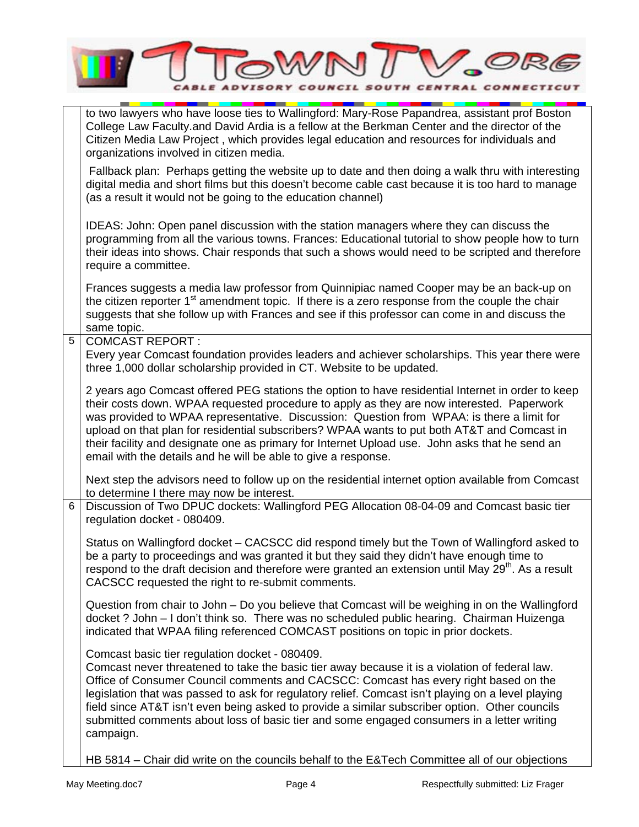|   | <b>CENTRAL CONNECTI</b><br>SOUTH                                                                                                                                                                                                                                                                                                                                                                                                                                                                                                                               |  |  |  |
|---|----------------------------------------------------------------------------------------------------------------------------------------------------------------------------------------------------------------------------------------------------------------------------------------------------------------------------------------------------------------------------------------------------------------------------------------------------------------------------------------------------------------------------------------------------------------|--|--|--|
|   | to two lawyers who have loose ties to Wallingford: Mary-Rose Papandrea, assistant prof Boston<br>College Law Faculty.and David Ardia is a fellow at the Berkman Center and the director of the<br>Citizen Media Law Project, which provides legal education and resources for individuals and<br>organizations involved in citizen media.                                                                                                                                                                                                                      |  |  |  |
|   | Fallback plan: Perhaps getting the website up to date and then doing a walk thru with interesting<br>digital media and short films but this doesn't become cable cast because it is too hard to manage<br>(as a result it would not be going to the education channel)                                                                                                                                                                                                                                                                                         |  |  |  |
|   | IDEAS: John: Open panel discussion with the station managers where they can discuss the<br>programming from all the various towns. Frances: Educational tutorial to show people how to turn<br>their ideas into shows. Chair responds that such a shows would need to be scripted and therefore<br>require a committee.                                                                                                                                                                                                                                        |  |  |  |
|   | Frances suggests a media law professor from Quinnipiac named Cooper may be an back-up on<br>the citizen reporter 1 <sup>st</sup> amendment topic. If there is a zero response from the couple the chair<br>suggests that she follow up with Frances and see if this professor can come in and discuss the<br>same topic.                                                                                                                                                                                                                                       |  |  |  |
| 5 | <b>COMCAST REPORT:</b><br>Every year Comcast foundation provides leaders and achiever scholarships. This year there were<br>three 1,000 dollar scholarship provided in CT. Website to be updated.                                                                                                                                                                                                                                                                                                                                                              |  |  |  |
|   | 2 years ago Comcast offered PEG stations the option to have residential Internet in order to keep<br>their costs down. WPAA requested procedure to apply as they are now interested. Paperwork<br>was provided to WPAA representative. Discussion: Question from WPAA: is there a limit for<br>upload on that plan for residential subscribers? WPAA wants to put both AT&T and Comcast in<br>their facility and designate one as primary for Internet Upload use. John asks that he send an<br>email with the details and he will be able to give a response. |  |  |  |
|   | Next step the advisors need to follow up on the residential internet option available from Comcast<br>to determine I there may now be interest.                                                                                                                                                                                                                                                                                                                                                                                                                |  |  |  |
| 6 | Discussion of Two DPUC dockets: Wallingford PEG Allocation 08-04-09 and Comcast basic tier<br>regulation docket - 080409.                                                                                                                                                                                                                                                                                                                                                                                                                                      |  |  |  |
|   | Status on Wallingford docket – CACSCC did respond timely but the Town of Wallingford asked to<br>be a party to proceedings and was granted it but they said they didn't have enough time to<br>respond to the draft decision and therefore were granted an extension until May 29 <sup>th</sup> . As a result<br>CACSCC requested the right to re-submit comments.                                                                                                                                                                                             |  |  |  |
|   | Question from chair to John - Do you believe that Comcast will be weighing in on the Wallingford<br>docket ? John - I don't think so. There was no scheduled public hearing. Chairman Huizenga<br>indicated that WPAA filing referenced COMCAST positions on topic in prior dockets.                                                                                                                                                                                                                                                                           |  |  |  |
|   | Comcast basic tier regulation docket - 080409.<br>Comcast never threatened to take the basic tier away because it is a violation of federal law.<br>Office of Consumer Council comments and CACSCC: Comcast has every right based on the<br>legislation that was passed to ask for regulatory relief. Comcast isn't playing on a level playing<br>field since AT&T isn't even being asked to provide a similar subscriber option. Other councils<br>submitted comments about loss of basic tier and some engaged consumers in a letter writing<br>campaign.    |  |  |  |
|   | HB 5814 – Chair did write on the councils behalf to the E&Tech Committee all of our objections                                                                                                                                                                                                                                                                                                                                                                                                                                                                 |  |  |  |